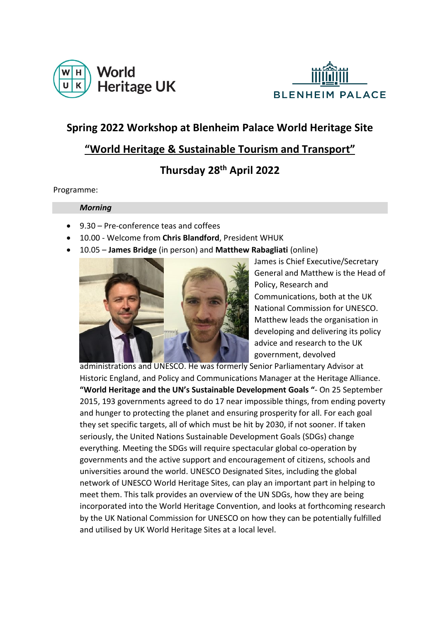



# **Spring 2022 Workshop at Blenheim Palace World Heritage Site**

### **"World Heritage & Sustainable Tourism and Transport"**

## **Thursday 28th April 2022**

Programme:

#### *Morning*

- 9.30 Pre-conference teas and coffees
- 10.00 Welcome from **Chris Blandford**, President WHUK
- 10.05 **James Bridge** (in person) and **Matthew Rabagliati** (online)



James is Chief Executive/Secretary General and Matthew is the Head of Policy, Research and Communications, both at the UK National Commission for UNESCO. Matthew leads the organisation in developing and delivering its policy advice and research to the UK government, devolved

administrations and UNESCO. He was formerly Senior Parliamentary Advisor at Historic England, and Policy and Communications Manager at the Heritage Alliance. **"World Heritage and the UN's Sustainable Development Goals "**- On 25 September 2015, 193 governments agreed to do 17 near impossible things, from ending poverty and hunger to protecting the planet and ensuring prosperity for all. For each goal they set specific targets, all of which must be hit by 2030, if not sooner. If taken seriously, the United Nations Sustainable Development Goals (SDGs) change everything. Meeting the SDGs will require spectacular global co-operation by governments and the active support and encouragement of citizens, schools and universities around the world. UNESCO Designated Sites, including the global network of UNESCO World Heritage Sites, can play an important part in helping to meet them. This talk provides an overview of the UN SDGs, how they are being incorporated into the World Heritage Convention, and looks at forthcoming research by the UK National Commission for UNESCO on how they can be potentially fulfilled and utilised by UK World Heritage Sites at a local level.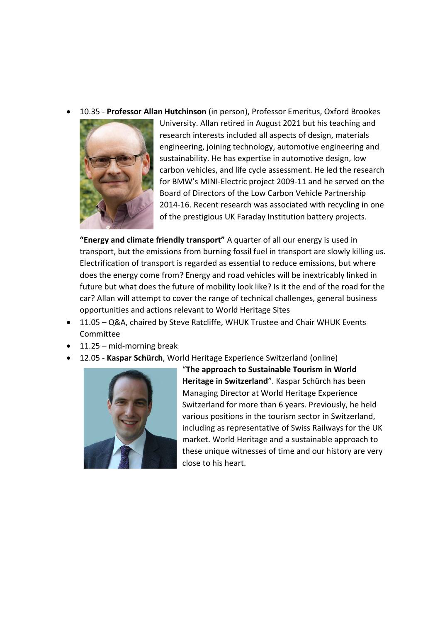• 10.35 - **Professor Allan Hutchinson** (in person), Professor Emeritus, Oxford Brookes



University. Allan retired in August 2021 but his teaching and research interests included all aspects of design, materials engineering, joining technology, automotive engineering and sustainability. He has expertise in automotive design, low carbon vehicles, and life cycle assessment. He led the research for BMW's MINI-Electric project 2009-11 and he served on the Board of Directors of the Low Carbon Vehicle Partnership 2014-16. Recent research was associated with recycling in one of the prestigious UK Faraday Institution battery projects.

**"Energy and climate friendly transport"** A quarter of all our energy is used in transport, but the emissions from burning fossil fuel in transport are slowly killing us. Electrification of transport is regarded as essential to reduce emissions, but where does the energy come from? Energy and road vehicles will be inextricably linked in future but what does the future of mobility look like? Is it the end of the road for the car? Allan will attempt to cover the range of technical challenges, general business opportunities and actions relevant to World Heritage Sites

- 11.05 Q&A, chaired by Steve Ratcliffe, WHUK Trustee and Chair WHUK Events Committee
- 11.25 mid-morning break
- 12.05 **Kaspar Schürch**, World Heritage Experience Switzerland (online)



"**The approach to Sustainable Tourism in World Heritage in Switzerland**". Kaspar Schürch has been Managing Director at World Heritage Experience Switzerland for more than 6 years. Previously, he held various positions in the tourism sector in Switzerland, including as representative of Swiss Railways for the UK market. World Heritage and a sustainable approach to these unique witnesses of time and our history are very close to his heart.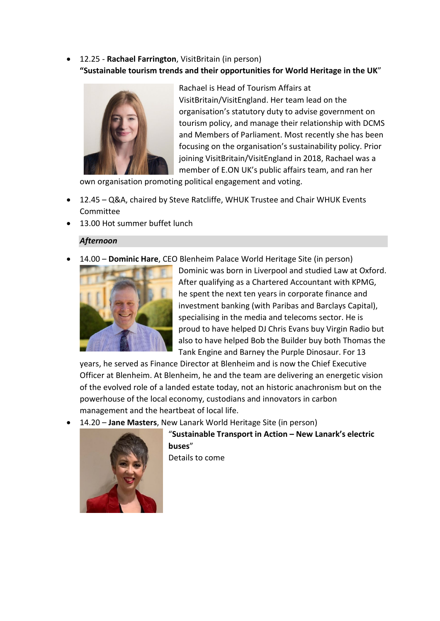### • 12.25 - **Rachael Farrington**, VisitBritain (in person) **"Sustainable tourism trends and their opportunities for World Heritage in the UK**"



Rachael is Head of Tourism Affairs at VisitBritain/VisitEngland. Her team lead on the organisation's statutory duty to advise government on tourism policy, and manage their relationship with DCMS and Members of Parliament. Most recently she has been focusing on the organisation's sustainability policy. Prior joining VisitBritain/VisitEngland in 2018, Rachael was a member of E.ON UK's public affairs team, and ran her

own organisation promoting political engagement and voting.

- 12.45 Q&A, chaired by Steve Ratcliffe, WHUK Trustee and Chair WHUK Events Committee
- 13.00 Hot summer buffet lunch

#### *Afternoon*

• 14.00 – **Dominic Hare**, CEO Blenheim Palace World Heritage Site (in person)



Dominic was born in Liverpool and studied Law at Oxford. After qualifying as a Chartered Accountant with KPMG, he spent the next ten years in corporate finance and investment banking (with Paribas and Barclays Capital), specialising in the media and telecoms sector. He is proud to have helped DJ Chris Evans buy Virgin Radio but also to have helped Bob the Builder buy both Thomas the Tank Engine and Barney the Purple Dinosaur. For 13

years, he served as Finance Director at Blenheim and is now the Chief Executive Officer at Blenheim. At Blenheim, he and the team are delivering an energetic vision of the evolved role of a landed estate today, not an historic anachronism but on the powerhouse of the local economy, custodians and innovators in carbon management and the heartbeat of local life.

• 14.20 – **Jane Masters**, New Lanark World Heritage Site (in person)



"**Sustainable Transport in Action – New Lanark's electric buses**"

Details to come